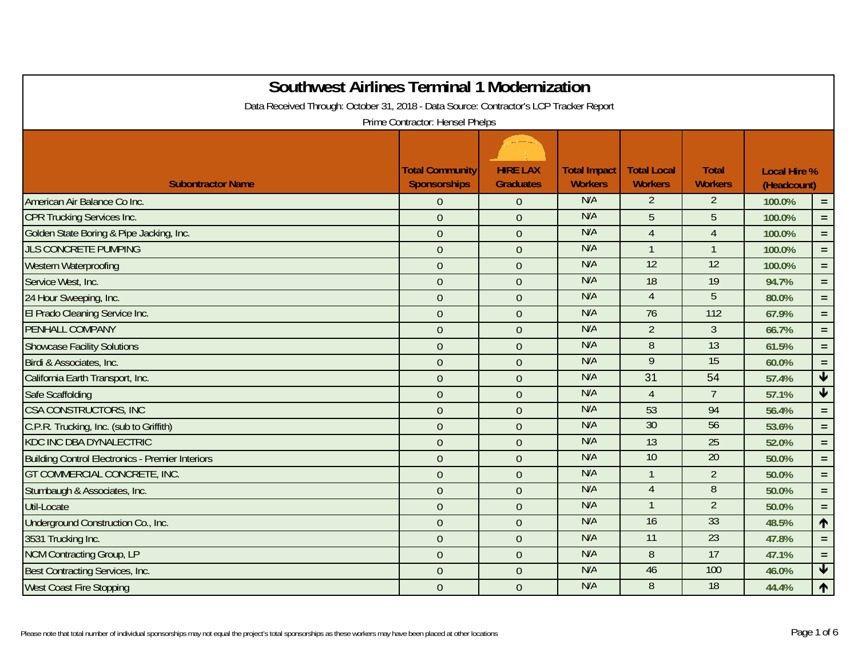| <b>Southwest Airlines Terminal 1 Modernization</b><br>Data Received Through: October 31, 2018 - Data Source: Contractor's LCP Tracker Report | Prime Contractor: Hensel Phelps               |                                     |                                       |                                      |                                |                                    |                         |
|----------------------------------------------------------------------------------------------------------------------------------------------|-----------------------------------------------|-------------------------------------|---------------------------------------|--------------------------------------|--------------------------------|------------------------------------|-------------------------|
| <b>Subontractor Name</b>                                                                                                                     | <b>Total Community</b><br><b>Sponsorships</b> | <b>HIRE LAX</b><br><b>Graduates</b> | <b>Total Impact</b><br><b>Workers</b> | <b>Total Local</b><br><b>Workers</b> | <b>Total</b><br><b>Workers</b> | <b>Local Hire %</b><br>(Headcount) |                         |
| American Air Balance Co Inc.                                                                                                                 | $\theta$                                      | $\theta$                            | N/A                                   | 2                                    | 2                              | 100.0%                             | $=$ $\,$                |
| <b>CPR Trucking Services Inc.</b>                                                                                                            | $\mathbf 0$                                   | $\overline{0}$                      | N/A                                   | 5                                    | 5                              | 100.0%                             | $\equiv$                |
| Golden State Boring & Pipe Jacking, Inc.                                                                                                     | $\overline{0}$                                | $\overline{0}$                      | N/A                                   | $\overline{4}$                       | $\overline{4}$                 | 100.0%                             | $=$ .                   |
| <b>JLS CONCRETE PUMPING</b>                                                                                                                  | $\mathbf 0$                                   | $\theta$                            | N/A                                   | $\mathbf{1}$                         | $\mathbf{1}$                   | 100.0%                             | $\equiv$                |
| Western Waterproofing                                                                                                                        | $\overline{0}$                                | $\overline{0}$                      | N/A                                   | 12                                   | 12                             | 100.0%                             | $\equiv$ .              |
| Service West, Inc.                                                                                                                           | $\overline{0}$                                | $\overline{0}$                      | N/A                                   | 18                                   | 19                             | 94.7%                              | $\equiv$                |
| 24 Hour Sweeping, Inc.                                                                                                                       | $\boldsymbol{0}$                              | $\theta$                            | N/A                                   | $\overline{4}$                       | 5                              | 80.0%                              | $=$ .                   |
| El Prado Cleaning Service Inc.                                                                                                               | $\boldsymbol{0}$                              | $\overline{0}$                      | N/A                                   | 76                                   | 112                            | 67.9%                              | $=$                     |
| PENHALL COMPANY                                                                                                                              | $\mathbf 0$                                   | $\overline{0}$                      | N/A                                   | $\overline{2}$                       | $\overline{3}$                 | 66.7%                              | $\equiv$                |
| <b>Showcase Facility Solutions</b>                                                                                                           | $\overline{0}$                                | $\overline{0}$                      | N/A                                   | 8                                    | 13                             | 61.5%                              | $=$ $\,$                |
| Birdi & Associates, Inc.                                                                                                                     | $\overline{0}$                                | $\overline{0}$                      | N/A                                   | $\overline{9}$                       | 15                             | 60.0%                              | $\equiv$ .              |
| California Earth Transport, Inc.                                                                                                             | $\overline{0}$                                | $\overline{0}$                      | N/A                                   | 31                                   | 54                             | 57.4%                              | $\blacklozenge$         |
| Safe Scaffolding                                                                                                                             | $\mathbf 0$                                   | $\overline{0}$                      | N/A                                   | $\overline{4}$                       | $\overline{7}$                 | 57.1%                              | $\overline{\mathbf{r}}$ |
| CSA CONSTRUCTORS, INC                                                                                                                        | $\boldsymbol{0}$                              | $\theta$                            | N/A                                   | 53                                   | 94                             | 56.4%                              | $\equiv$                |
| C.P.R. Trucking, Inc. (sub to Griffith)                                                                                                      | $\boldsymbol{0}$                              | $\theta$                            | N/A                                   | 30                                   | 56                             | 53.6%                              | $\equiv$                |
| <b>KDC INC DBA DYNALECTRIC</b>                                                                                                               | $\overline{0}$                                | $\Omega$                            | N/A                                   | 13                                   | 25                             | 52.0%                              | $\equiv$                |
| <b>Building Control Electronics - Premier Interiors</b>                                                                                      | $\mathbf 0$                                   | $\theta$                            | N/A                                   | 10                                   | 20                             | 50.0%                              | $=$                     |
| <b>GT COMMERCIAL CONCRETE, INC.</b>                                                                                                          | $\mathbf 0$                                   | $\overline{0}$                      | N/A                                   |                                      | $\overline{2}$                 | 50.0%                              | $\equiv$ .              |
| Stumbaugh & Associates, Inc.                                                                                                                 | $\theta$                                      | $\overline{0}$                      | N/A                                   | $\overline{4}$                       | $\overline{8}$                 | 50.0%                              | $\equiv$                |
| Util-Locate                                                                                                                                  | $\mathbf 0$                                   | $\overline{0}$                      | N/A                                   |                                      | $\overline{2}$                 | 50.0%                              | $\equiv$                |
| Underground Construction Co., Inc.                                                                                                           | $\boldsymbol{0}$                              | $\theta$                            | N/A                                   | $\overline{16}$                      | 33                             | 48.5%                              | $\uparrow$              |
| 3531 Trucking Inc.                                                                                                                           | $\boldsymbol{0}$                              | $\theta$                            | N/A                                   | $\overline{11}$                      | $\overline{23}$                | 47.8%                              | $\equiv$                |
| <b>NCM Contracting Group, LP</b>                                                                                                             | $\mathbf 0$                                   | $\theta$                            | N/A                                   | 8                                    | 17                             | 47.1%                              | $\equiv$                |
| Best Contracting Services, Inc.                                                                                                              | $\boldsymbol{0}$                              | $\overline{0}$                      | N/A                                   | 46                                   | 100                            | 46.0%                              | $\blacklozenge$         |
| <b>West Coast Fire Stopping</b>                                                                                                              | $\overline{0}$                                | $\overline{0}$                      | N/A                                   | $\overline{8}$                       | 18                             | 44.4%                              | $\blacklozenge$         |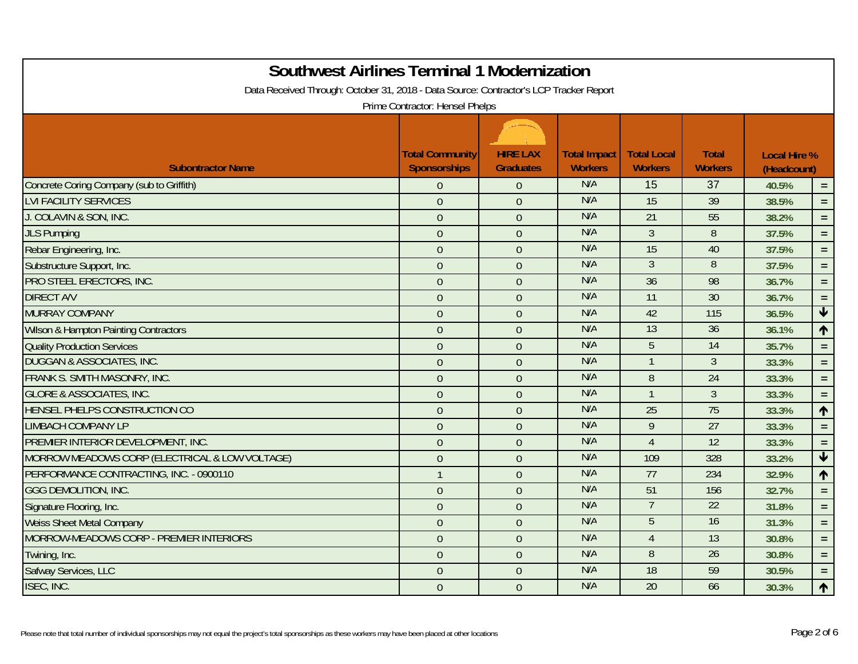| <b>Southwest Airlines Terminal 1 Modernization</b><br>Data Received Through: October 31, 2018 - Data Source: Contractor's LCP Tracker Report |                                               |                                     |                                       |                                      |                                |                                    |                      |
|----------------------------------------------------------------------------------------------------------------------------------------------|-----------------------------------------------|-------------------------------------|---------------------------------------|--------------------------------------|--------------------------------|------------------------------------|----------------------|
|                                                                                                                                              | Prime Contractor: Hensel Phelps               |                                     |                                       |                                      |                                |                                    |                      |
| <b>Subontractor Name</b>                                                                                                                     | <b>Total Community</b><br><b>Sponsorships</b> | <b>HIRE LAX</b><br><b>Graduates</b> | <b>Total Impact</b><br><b>Workers</b> | <b>Total Local</b><br><b>Workers</b> | <b>Total</b><br><b>Workers</b> | <b>Local Hire %</b><br>(Headcount) |                      |
| Concrete Coring Company (sub to Griffith)                                                                                                    | $\overline{0}$                                | $\Omega$                            | N/A                                   | 15                                   | 37                             | 40.5%                              | $\equiv$             |
| <b>LVI FACILITY SERVICES</b>                                                                                                                 | $\overline{0}$                                | $\Omega$                            | N/A                                   | $\overline{15}$                      | $\overline{39}$                | 38.5%                              | $\equiv$             |
| J. COLAVIN & SON, INC.                                                                                                                       | $\theta$                                      | $\overline{0}$                      | N/A                                   | 21                                   | 55                             | 38.2%                              | $=$ .                |
| <b>JLS Pumping</b>                                                                                                                           | $\theta$                                      | $\overline{0}$                      | N/A                                   | $\mathfrak{Z}$                       | 8                              | 37.5%                              | $\equiv$             |
| Rebar Engineering, Inc.                                                                                                                      | $\theta$                                      | $\overline{0}$                      | N/A                                   | 15                                   | 40                             | 37.5%                              | $\equiv$             |
| Substructure Support, Inc.                                                                                                                   | $\overline{0}$                                | $\overline{0}$                      | N/A                                   | $\overline{3}$                       | $\overline{8}$                 | 37.5%                              | $=$                  |
| PRO STEEL ERECTORS, INC.                                                                                                                     | $\mathbf{0}$                                  | $\overline{0}$                      | N/A                                   | 36                                   | 98                             | 36.7%                              | $=$ .                |
| <b>DIRECT A/V</b>                                                                                                                            | $\boldsymbol{0}$                              | $\overline{0}$                      | N/A                                   | $\overline{11}$                      | $\overline{30}$                | 36.7%                              | $\equiv$             |
| <b>MURRAY COMPANY</b>                                                                                                                        | $\overline{0}$                                | $\overline{0}$                      | N/A                                   | 42                                   | 115                            | 36.5%                              | $\blacktriangledown$ |
| <b>Wilson &amp; Hampton Painting Contractors</b>                                                                                             | $\theta$                                      | $\overline{0}$                      | N/A                                   | 13                                   | 36                             | 36.1%                              | $\blacklozenge$      |
| <b>Quality Production Services</b>                                                                                                           | $\overline{0}$                                | $\overline{0}$                      | N/A                                   | 5                                    | 14                             | 35.7%                              | $=$ .                |
| <b>DUGGAN &amp; ASSOCIATES, INC.</b>                                                                                                         | $\boldsymbol{0}$                              | $\theta$                            | N/A                                   |                                      | $\overline{3}$                 | 33.3%                              | $\equiv$             |
| FRANK S. SMITH MASONRY, INC.                                                                                                                 | $\overline{0}$                                | $\overline{0}$                      | N/A                                   | 8                                    | 24                             | 33.3%                              | $=$ .                |
| <b>GLORE &amp; ASSOCIATES, INC.</b>                                                                                                          | $\overline{0}$                                | $\Omega$                            | N/A                                   |                                      | $\overline{3}$                 | 33.3%                              | $\equiv$             |
| HENSEL PHELPS CONSTRUCTION CO                                                                                                                | $\overline{0}$                                | $\overline{0}$                      | N/A                                   | 25                                   | 75                             | 33.3%                              | $\uparrow$           |
| <b>LIMBACH COMPANY LP</b>                                                                                                                    | $\theta$                                      | $\overline{0}$                      | N/A                                   | 9                                    | $\overline{27}$                | 33.3%                              | $=$                  |
| PREMIER INTERIOR DEVELOPMENT, INC.                                                                                                           | $\overline{0}$                                | $\overline{0}$                      | N/A                                   | $\overline{4}$                       | 12                             | 33.3%                              | $\equiv$             |
| MORROW MEADOWS CORP (ELECTRICAL & LOW VOLTAGE)                                                                                               | $\theta$                                      | $\Omega$                            | N/A                                   | 109                                  | 328                            | 33.2%                              | $\blacklozenge$      |
| PERFORMANCE CONTRACTING, INC. - 0900110                                                                                                      | $\overline{1}$                                | $\overline{0}$                      | N/A                                   | 77                                   | 234                            | 32.9%                              | $\blacklozenge$      |
| <b>GGG DEMOLITION, INC.</b>                                                                                                                  | $\theta$                                      | $\overline{0}$                      | N/A                                   | 51                                   | 156                            | 32.7%                              | $=$ .                |
| Signature Flooring, Inc.                                                                                                                     | $\theta$                                      | $\mathbf{0}$                        | N/A                                   | 7                                    | 22                             | 31.8%                              | $\equiv$             |
| <b>Weiss Sheet Metal Company</b>                                                                                                             | $\theta$                                      | $\overline{0}$                      | N/A                                   | $\overline{5}$                       | 16                             | 31.3%                              | $=$                  |
| MORROW-MEADOWS CORP - PREMIER INTERIORS                                                                                                      | $\overline{0}$                                | $\overline{0}$                      | N/A                                   | $\overline{4}$                       | 13                             | 30.8%                              | $\equiv$             |
| Twining, Inc.                                                                                                                                | $\overline{0}$                                | $\overline{0}$                      | N/A                                   | 8                                    | 26                             | 30.8%                              | $=$                  |
| Safway Services, LLC                                                                                                                         | $\theta$                                      | $\overline{0}$                      | N/A                                   | 18                                   | 59                             | 30.5%                              | $=$ .                |
| ISEC, INC.                                                                                                                                   | $\overline{0}$                                | $\overline{0}$                      | N/A                                   | 20                                   | 66                             | 30.3%                              | 个                    |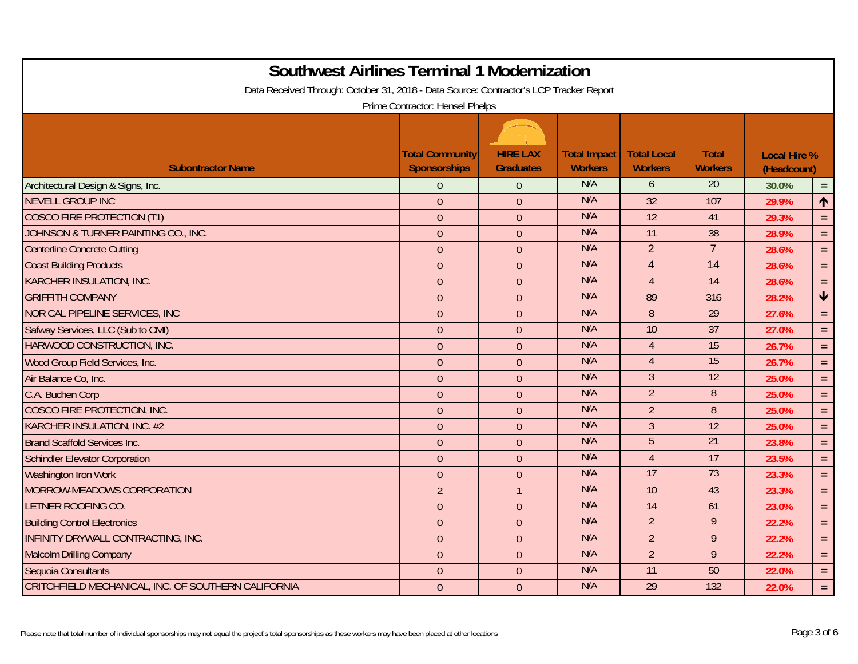| <b>Southwest Airlines Terminal 1 Modernization</b><br>Data Received Through: October 31, 2018 - Data Source: Contractor's LCP Tracker Report |                                               |                                     |                                       |                                      |                                |                                    |                         |  |  |
|----------------------------------------------------------------------------------------------------------------------------------------------|-----------------------------------------------|-------------------------------------|---------------------------------------|--------------------------------------|--------------------------------|------------------------------------|-------------------------|--|--|
| Prime Contractor: Hensel Phelps                                                                                                              |                                               |                                     |                                       |                                      |                                |                                    |                         |  |  |
| <b>Subontractor Name</b>                                                                                                                     | <b>Total Community</b><br><b>Sponsorships</b> | <b>HIRE LAX</b><br><b>Graduates</b> | <b>Total Impact</b><br><b>Workers</b> | <b>Total Local</b><br><b>Workers</b> | <b>Total</b><br><b>Workers</b> | <b>Local Hire %</b><br>(Headcount) |                         |  |  |
| Architectural Design & Signs, Inc.                                                                                                           | $\overline{0}$                                | $\theta$                            | N/A                                   | 6                                    | $\overline{20}$                | 30.0%                              | $=$ $\,$                |  |  |
| <b>NEVELL GROUP INC</b>                                                                                                                      | $\mathbf{0}$                                  | $\overline{0}$                      | N/A                                   | 32                                   | 107                            | 29.9%                              | 个                       |  |  |
| <b>COSCO FIRE PROTECTION (T1)</b>                                                                                                            | $\boldsymbol{0}$                              | $\overline{0}$                      | N/A                                   | 12                                   | 41                             | 29.3%                              | $\equiv$                |  |  |
| JOHNSON & TURNER PAINTING CO., INC.                                                                                                          | $\mathbf{0}$                                  | $\overline{0}$                      | N/A                                   | 11                                   | 38                             | 28.9%                              | $=$ .                   |  |  |
| <b>Centerline Concrete Cutting</b>                                                                                                           | $\mathbf{0}$                                  | $\overline{0}$                      | N/A                                   | $\overline{2}$                       | $\overline{7}$                 | 28.6%                              | $\equiv$                |  |  |
| <b>Coast Building Products</b>                                                                                                               | $\mathbf{0}$                                  | $\overline{0}$                      | N/A                                   | $\overline{4}$                       | $\overline{14}$                | 28.6%                              | $\equiv$                |  |  |
| <b>KARCHER INSULATION, INC.</b>                                                                                                              | $\mathbf{0}$                                  | $\overline{0}$                      | N/A                                   | $\overline{4}$                       | 14                             | 28.6%                              | $\equiv$                |  |  |
| <b>GRIFFITH COMPANY</b>                                                                                                                      | $\boldsymbol{0}$                              | $\overline{0}$                      | N/A                                   | 89                                   | 316                            | 28.2%                              | $\overline{\textbf{v}}$ |  |  |
| <b>NOR CAL PIPELINE SERVICES, INC.</b>                                                                                                       | $\mathbf{0}$                                  | $\overline{0}$                      | N/A                                   | 8                                    | 29                             | 27.6%                              | $=$ .                   |  |  |
| Safway Services, LLC (Sub to CMI)                                                                                                            | $\overline{0}$                                | $\overline{0}$                      | N/A                                   | 10                                   | $\overline{37}$                | 27.0%                              | $\equiv$                |  |  |
| HARWOOD CONSTRUCTION, INC.                                                                                                                   | $\mathbf{0}$                                  | $\theta$                            | N/A                                   | $\overline{4}$                       | 15                             | 26.7%                              | $\equiv$                |  |  |
| Wood Group Field Services, Inc.                                                                                                              | $\boldsymbol{0}$                              | $\theta$                            | N/A                                   | $\overline{4}$                       | 15                             | 26.7%                              | $=$ .                   |  |  |
| Air Balance Co, Inc.                                                                                                                         | $\overline{0}$                                | $\theta$                            | N/A                                   | $\mathfrak{Z}$                       | 12                             | 25.0%                              | $\equiv$                |  |  |
| C.A. Buchen Corp                                                                                                                             | $\overline{0}$                                | $\overline{0}$                      | N/A                                   | $\overline{2}$                       | $\overline{8}$                 | 25.0%                              | $\equiv$                |  |  |
| COSCO FIRE PROTECTION, INC.                                                                                                                  | $\overline{0}$                                | $\theta$                            | N/A                                   | $\overline{2}$                       | 8                              | 25.0%                              | $=$                     |  |  |
| <b>KARCHER INSULATION, INC. #2</b>                                                                                                           | $\mathbf{0}$                                  | $\overline{0}$                      | N/A                                   | $\mathfrak{Z}$                       | $\overline{12}$                | 25.0%                              | $\equiv$                |  |  |
| <b>Brand Scaffold Services Inc.</b>                                                                                                          | $\theta$                                      | $\overline{0}$                      | N/A                                   | 5                                    | 21                             | 23.8%                              | $\equiv$                |  |  |
| <b>Schindler Elevator Corporation</b>                                                                                                        | $\theta$                                      | $\overline{0}$                      | N/A<br>N/A                            | $\overline{4}$<br>17                 | 17<br>73                       | 23.5%                              | $\equiv$                |  |  |
| Washington Iron Work                                                                                                                         | $\mathbf{0}$                                  | $\overline{0}$                      |                                       |                                      |                                | 23.3%                              | $\equiv$                |  |  |
| MORROW-MEADOWS CORPORATION                                                                                                                   | $\overline{2}$                                |                                     | N/A                                   | $\overline{10}$                      | 43                             | 23.3%                              | $=$ $\,$                |  |  |
| LETNER ROOFING CO.                                                                                                                           | $\mathbf{0}$                                  | $\overline{0}$                      | N/A<br>N/A                            | 14                                   | 61<br>$\overline{9}$           | 23.0%                              | $=$ .                   |  |  |
| <b>Building Control Electronics</b>                                                                                                          | $\mathbf{0}$                                  | $\overline{0}$                      |                                       | $\overline{2}$                       |                                | 22.2%                              | $\equiv$                |  |  |
| INFINITY DRYWALL CONTRACTING, INC.                                                                                                           | $\boldsymbol{0}$                              | $\overline{0}$                      | N/A                                   | $\overline{2}$                       | 9                              | 22.2%                              | $=$                     |  |  |
| <b>Malcolm Drilling Company</b>                                                                                                              | $\mathbf{0}$                                  | $\overline{0}$                      | N/A                                   | $\overline{2}$                       | 9                              | 22.2%                              | $=$                     |  |  |
| Sequoia Consultants                                                                                                                          | $\theta$                                      | $\overline{0}$                      | N/A<br>N/A                            | 11                                   | 50                             | 22.0%                              | $=$ .                   |  |  |
| CRITCHFIELD MECHANICAL, INC. OF SOUTHERN CALIFORNIA                                                                                          | $\mathbf{0}$                                  | $\theta$                            |                                       | 29                                   | 132                            | 22.0%                              | $\equiv$                |  |  |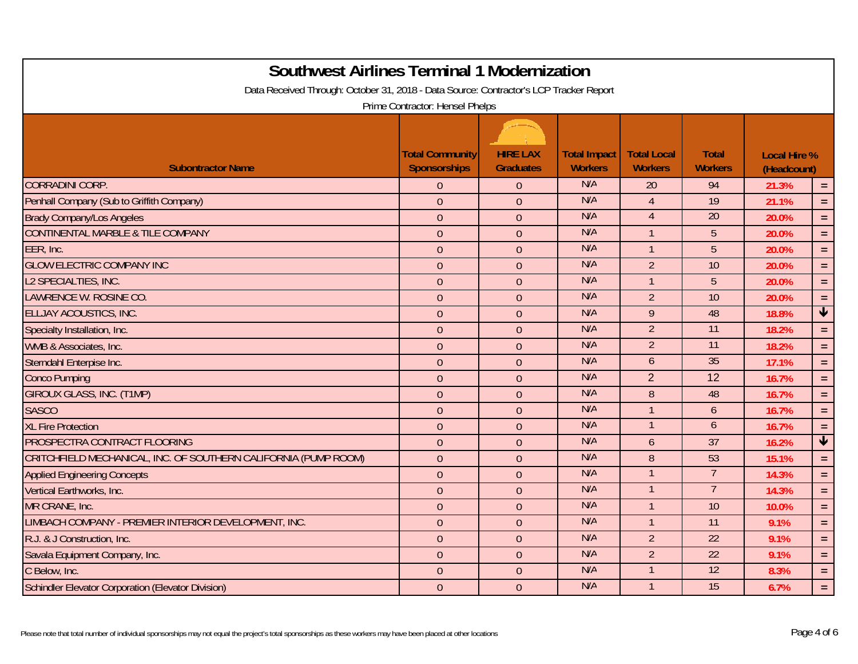| <b>Southwest Airlines Terminal 1 Modernization</b>                                     |                        |                  |                     |                    |                 |                     |                         |  |  |
|----------------------------------------------------------------------------------------|------------------------|------------------|---------------------|--------------------|-----------------|---------------------|-------------------------|--|--|
| Data Received Through: October 31, 2018 - Data Source: Contractor's LCP Tracker Report |                        |                  |                     |                    |                 |                     |                         |  |  |
| Prime Contractor: Hensel Phelps                                                        |                        |                  |                     |                    |                 |                     |                         |  |  |
|                                                                                        |                        |                  |                     |                    |                 |                     |                         |  |  |
|                                                                                        | <b>Total Community</b> | <b>HIRE LAX</b>  | <b>Total Impact</b> | <b>Total Local</b> | <b>Total</b>    | <b>Local Hire %</b> |                         |  |  |
| <b>Subontractor Name</b>                                                               | <b>Sponsorships</b>    | <b>Graduates</b> | <b>Workers</b>      | <b>Workers</b>     | <b>Workers</b>  | (Headcount)         |                         |  |  |
| <b>CORRADINI CORP.</b>                                                                 | $\overline{0}$         | $\theta$         | N/A                 | 20                 | 94              | 21.3%               | $\equiv$                |  |  |
| Penhall Company (Sub to Griffith Company)                                              | $\overline{0}$         | $\overline{0}$   | N/A                 | $\overline{A}$     | 19              | 21.1%               | $=$ .                   |  |  |
| <b>Brady Company/Los Angeles</b>                                                       | $\boldsymbol{0}$       | $\overline{0}$   | N/A                 | $\overline{4}$     | 20              | 20.0%               | $\equiv$                |  |  |
| <b>CONTINENTAL MARBLE &amp; TILE COMPANY</b>                                           | $\mathbf{0}$           | $\overline{0}$   | N/A                 | $\mathbf{1}$       | 5               | 20.0%               | $=$ .                   |  |  |
| EER, Inc.                                                                              | $\mathbf{0}$           | $\overline{0}$   | N/A                 | $\mathbf{1}$       | 5               | 20.0%               | $\equiv$                |  |  |
| <b>GLOW ELECTRIC COMPANY INC</b>                                                       | $\mathbf{0}$           | $\overline{0}$   | N/A                 | $\overline{2}$     | 10              | 20.0%               | $\equiv$                |  |  |
| L2 SPECIALTIES, INC.                                                                   | $\boldsymbol{0}$       | $\overline{0}$   | N/A                 | $\overline{1}$     | 5               | 20.0%               | $\equiv$                |  |  |
| LAWRENCE W. ROSINE CO.                                                                 | $\boldsymbol{0}$       | $\overline{0}$   | N/A                 | $\overline{2}$     | 10              | 20.0%               | $\equiv$                |  |  |
| ELLJAY ACOUSTICS, INC.                                                                 | $\mathbf{0}$           | $\overline{0}$   | N/A                 | 9                  | 48              | 18.8%               | $\overline{\textbf{t}}$ |  |  |
| Specialty Installation, Inc.                                                           | $\overline{0}$         | $\overline{0}$   | N/A                 | $\overline{2}$     | $\overline{11}$ | 18.2%               | $\equiv$                |  |  |
| WMB & Associates, Inc.                                                                 | $\mathbf{0}$           | $\overline{0}$   | N/A                 | $\overline{2}$     | 11              | 18.2%               | $\equiv$                |  |  |
| Sterndahl Enterpise Inc.                                                               | $\boldsymbol{0}$       | $\overline{0}$   | N/A                 | 6                  | 35              | 17.1%               | $=$ .                   |  |  |
| <b>Conco Pumping</b>                                                                   | $\overline{0}$         | $\theta$         | N/A                 | $\overline{2}$     | 12              | 16.7%               | $\equiv$                |  |  |
| <b>GIROUX GLASS, INC. (T1MP)</b>                                                       | $\overline{0}$         | $\overline{0}$   | N/A                 | 8                  | 48              | 16.7%               | $\equiv$                |  |  |
| <b>SASCO</b>                                                                           | $\overline{0}$         | $\overline{0}$   | N/A                 | $\mathbf{1}$       | 6               | 16.7%               | $=$                     |  |  |
| <b>XL Fire Protection</b>                                                              | $\mathbf{0}$           | $\overline{0}$   | N/A                 | $\mathbf{1}$       | $\mathfrak b$   | 16.7%               | $=$ $\,$                |  |  |
| PROSPECTRA CONTRACT FLOORING                                                           | $\theta$               | $\overline{0}$   | N/A                 | $\overline{6}$     | 37              | 16.2%               | $\overline{\mathbf{V}}$ |  |  |
| CRITCHFIELD MECHANICAL, INC. OF SOUTHERN CALIFORNIA (PUMP ROOM)                        | $\theta$               | $\overline{0}$   | N/A                 | 8                  | 53              | 15.1%               | $\equiv$                |  |  |
| <b>Applied Engineering Concepts</b>                                                    | $\mathbf{0}$           | $\overline{0}$   | N/A                 |                    | $\overline{7}$  | 14.3%               | $\equiv$                |  |  |
| Vertical Earthworks, Inc.                                                              | $\boldsymbol{0}$       | $\overline{0}$   | N/A                 |                    | $\overline{7}$  | 14.3%               | $=$ $\,$                |  |  |
| MR CRANE, Inc.                                                                         | $\boldsymbol{0}$       | $\overline{0}$   | N/A                 | $\mathbf{1}$       | 10              | 10.0%               | $=$ .                   |  |  |
| LIMBACH COMPANY - PREMIER INTERIOR DEVELOPMENT, INC.                                   | $\mathbf{0}$           | $\overline{0}$   | N/A                 | $\mathbf{1}$       | 11              | 9.1%                | $\equiv$                |  |  |
| R.J. & J Construction, Inc.                                                            | $\overline{0}$         | $\theta$         | N/A                 | $\overline{2}$     | 22              | 9.1%                | $=$                     |  |  |
| Savala Equipment Company, Inc.                                                         | $\mathbf{0}$           | $\overline{0}$   | N/A                 | $\overline{2}$     | 22              | 9.1%                | $\equiv$                |  |  |
| C Below, Inc.                                                                          | $\theta$               | $\overline{0}$   | N/A                 |                    | 12              | 8.3%                | $=$ .                   |  |  |
| <b>Schindler Elevator Corporation (Elevator Division)</b>                              | $\mathbf{0}$           | $\theta$         | N/A                 | $\mathbf{1}$       | 15              | 6.7%                | $\equiv$                |  |  |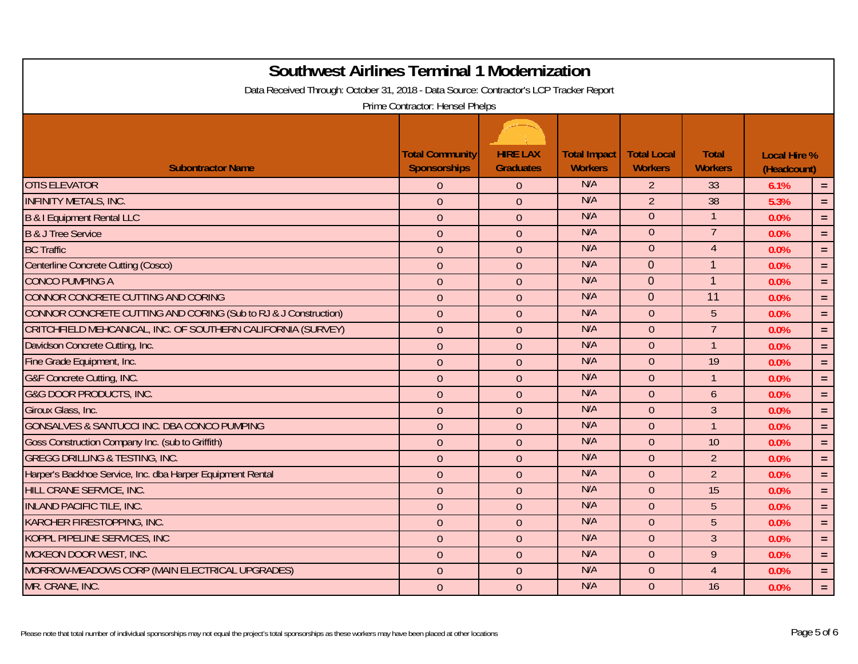| <b>Southwest Airlines Terminal 1 Modernization</b>                                     |                                               |                                     |                                       |                                      |                                |                                    |          |
|----------------------------------------------------------------------------------------|-----------------------------------------------|-------------------------------------|---------------------------------------|--------------------------------------|--------------------------------|------------------------------------|----------|
| Data Received Through: October 31, 2018 - Data Source: Contractor's LCP Tracker Report | Prime Contractor: Hensel Phelps               |                                     |                                       |                                      |                                |                                    |          |
| <b>Subontractor Name</b>                                                               | <b>Total Community</b><br><b>Sponsorships</b> | <b>HIRE LAX</b><br><b>Graduates</b> | <b>Total Impact</b><br><b>Workers</b> | <b>Total Local</b><br><b>Workers</b> | <b>Total</b><br><b>Workers</b> | <b>Local Hire %</b><br>(Headcount) |          |
| <b>OTIS ELEVATOR</b>                                                                   | $\overline{0}$                                | $\theta$                            | N/A                                   | $\overline{2}$                       | 33                             | 6.1%                               | $=$      |
| <b>INFINITY METALS, INC.</b>                                                           | $\overline{0}$                                | $\overline{0}$                      | N/A                                   | $\overline{2}$                       | $\overline{38}$                | 5.3%                               | $=$ $\,$ |
| <b>B &amp; I Equipment Rental LLC</b>                                                  | $\boldsymbol{0}$                              | $\overline{0}$                      | N/A                                   | $\overline{0}$                       |                                | 0.0%                               | $\equiv$ |
| <b>B &amp; J Tree Service</b>                                                          | $\mathbf{0}$                                  | $\overline{0}$                      | N/A                                   | $\overline{0}$                       | $\overline{7}$                 | 0.0%                               | $=$ .    |
| <b>BC Traffic</b>                                                                      | $\mathbf{0}$                                  | $\theta$                            | N/A                                   | $\overline{0}$                       | $\overline{4}$                 | 0.0%                               | $\equiv$ |
| Centerline Concrete Cutting (Cosco)                                                    | $\mathbf{0}$                                  | $\theta$                            | N/A                                   | $\Omega$                             | $\mathbf{1}$                   | 0.0%                               | $=$      |
| <b>CONCO PUMPING A</b>                                                                 | $\mathbf{0}$                                  | $\overline{0}$                      | N/A                                   | $\overline{0}$                       | $\mathbf{1}$                   | 0.0%                               | $\equiv$ |
| CONNOR CONCRETE CUTTING AND CORING                                                     | $\theta$                                      | $\theta$                            | N/A                                   | $\overline{0}$                       | 11                             | 0.0%                               | $=$ .    |
| CONNOR CONCRETE CUTTING AND CORING (Sub to RJ & J Construction)                        | $\theta$                                      | $\overline{0}$                      | N/A                                   | $\overline{0}$                       | 5                              | 0.0%                               | $=$ .    |
| CRITCHFIELD MEHCANICAL, INC. OF SOUTHERN CALIFORNIA (SURVEY)                           | $\mathbf{0}$                                  | $\overline{0}$                      | N/A                                   | $\Omega$                             | $\overline{7}$                 | 0.0%                               | $\equiv$ |
| Davidson Concrete Cutting, Inc.                                                        | $\mathbf{0}$                                  | $\overline{0}$                      | N/A                                   | $\overline{0}$                       | $\overline{1}$                 | 0.0%                               | $=$ .    |
| Fine Grade Equipment, Inc.                                                             | $\mathbf{0}$                                  | $\overline{0}$                      | N/A                                   | $\overline{0}$                       | $\overline{19}$                | 0.0%                               | $\equiv$ |
| G&F Concrete Cutting, INC.                                                             | $\mathbf{0}$                                  | $\overline{0}$                      | N/A                                   | $\Omega$                             | $\overline{1}$                 | 0.0%                               | $\equiv$ |
| <b>G&amp;G DOOR PRODUCTS, INC.</b>                                                     | $\mathbf{0}$                                  | $\overline{0}$                      | N/A                                   | $\Omega$                             | 6                              | 0.0%                               | $=$ .    |
| Giroux Glass, Inc.                                                                     | $\mathbf{0}$                                  | $\Omega$                            | N/A                                   | $\Omega$                             | 3                              | 0.0%                               | $=$      |
| GONSALVES & SANTUCCI INC. DBA CONCO PUMPING                                            | $\mathbf{0}$                                  | $\overline{0}$                      | N/A                                   | $\overline{0}$                       | $\overline{1}$                 | 0.0%                               | $=$ .    |
| Goss Construction Company Inc. (sub to Griffith)                                       | $\theta$                                      | $\theta$                            | N/A                                   | $\Omega$                             | 10                             | 0.0%                               | $=$ .    |
| <b>GREGG DRILLING &amp; TESTING, INC.</b>                                              | $\theta$                                      | $\theta$                            | N/A                                   | $\overline{0}$                       | $\overline{2}$                 | 0.0%                               | $\equiv$ |
| Harper's Backhoe Service, Inc. dba Harper Equipment Rental                             | $\overline{0}$                                | $\overline{0}$                      | N/A                                   | $\Omega$                             | $\overline{2}$                 | 0.0%                               | $\equiv$ |
| HILL CRANE SERVICE, INC.                                                               | $\mathbf 0$                                   | $\overline{0}$                      | N/A                                   | $\overline{0}$                       | 15                             | 0.0%                               | $=$ $\,$ |
| <b>INLAND PACIFIC TILE, INC.</b>                                                       | $\mathbf{0}$                                  | $\overline{0}$                      | N/A                                   | $\overline{0}$                       | 5                              | 0.0%                               | $\equiv$ |
| <b>KARCHER FIRESTOPPING, INC.</b>                                                      | $\overline{0}$                                | $\overline{0}$                      | N/A                                   | $\overline{0}$                       | 5                              | 0.0%                               | $\equiv$ |
| KOPPL PIPELINE SERVICES, INC                                                           | $\overline{0}$                                | $\overline{0}$                      | N/A                                   | $\Omega$                             | $\overline{3}$                 | 0.0%                               | $\equiv$ |
| <b>MCKEON DOOR WEST, INC.</b>                                                          | $\overline{0}$                                | $\overline{0}$                      | N/A                                   | $\Omega$                             | 9                              | 0.0%                               | $\equiv$ |
| MORROW-MEADOWS CORP (MAIN ELECTRICAL UPGRADES)                                         | $\theta$                                      | $\overline{0}$                      | N/A                                   | $\overline{0}$                       | $\overline{4}$                 | 0.0%                               | $=$ .    |
| MR. CRANE, INC.                                                                        | $\theta$                                      | $\theta$                            | N/A                                   | $\Omega$                             | 16                             | 0.0%                               | $\equiv$ |